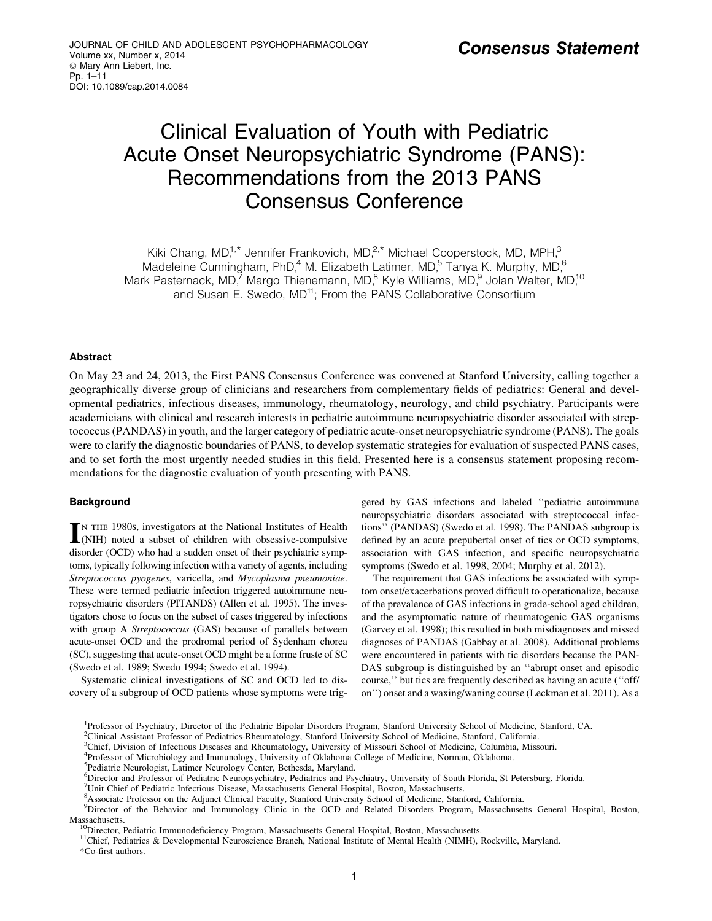# Clinical Evaluation of Youth with Pediatric Acute Onset Neuropsychiatric Syndrome (PANS): Recommendations from the 2013 PANS Consensus Conference

Kiki Chang, MD,<sup>1,\*</sup> Jennifer Frankovich, MD,<sup>2,\*</sup> Michael Cooperstock, MD, MPH,<sup>3</sup> Madeleine Cunningham, PhD,<sup>4</sup> M. Elizabeth Latimer, MD,<sup>5</sup> Tanya K. Murphy, MD,<sup>6</sup> Mark Pasternack, MD,<sup>7</sup> Margo Thienemann, MD,<sup>8</sup> Kyle Williams, MD,<sup>9</sup> Jolan Walter, MD,<sup>10</sup> and Susan E. Swedo, MD<sup>11</sup>; From the PANS Collaborative Consortium

## Abstract

On May 23 and 24, 2013, the First PANS Consensus Conference was convened at Stanford University, calling together a geographically diverse group of clinicians and researchers from complementary fields of pediatrics: General and developmental pediatrics, infectious diseases, immunology, rheumatology, neurology, and child psychiatry. Participants were academicians with clinical and research interests in pediatric autoimmune neuropsychiatric disorder associated with streptococcus (PANDAS) in youth, and the larger category of pediatric acute-onset neuropsychiatric syndrome (PANS). The goals were to clarify the diagnostic boundaries of PANS, to develop systematic strategies for evaluation of suspected PANS cases, and to set forth the most urgently needed studies in this field. Presented here is a consensus statement proposing recommendations for the diagnostic evaluation of youth presenting with PANS.

# **Background**

IN THE 1980s, investigators at the National Institutes of Health<br>(NIH) noted a subset of children with obsessive-compulsive n the 1980s, investigators at the National Institutes of Health disorder (OCD) who had a sudden onset of their psychiatric symptoms, typically following infection with a variety of agents, including Streptococcus pyogenes, varicella, and Mycoplasma pneumoniae. These were termed pediatric infection triggered autoimmune neuropsychiatric disorders (PITANDS) (Allen et al. 1995). The investigators chose to focus on the subset of cases triggered by infections with group A Streptococcus (GAS) because of parallels between acute-onset OCD and the prodromal period of Sydenham chorea (SC), suggesting that acute-onset OCD might be a forme fruste of SC (Swedo et al. 1989; Swedo 1994; Swedo et al. 1994).

gered by GAS infections and labeled ''pediatric autoimmune neuropsychiatric disorders associated with streptococcal infections'' (PANDAS) (Swedo et al. 1998). The PANDAS subgroup is defined by an acute prepubertal onset of tics or OCD symptoms, association with GAS infection, and specific neuropsychiatric symptoms (Swedo et al. 1998, 2004; Murphy et al. 2012).

The requirement that GAS infections be associated with symptom onset/exacerbations proved difficult to operationalize, because of the prevalence of GAS infections in grade-school aged children, and the asymptomatic nature of rheumatogenic GAS organisms (Garvey et al. 1998); this resulted in both misdiagnoses and missed diagnoses of PANDAS (Gabbay et al. 2008). Additional problems were encountered in patients with tic disorders because the PAN-DAS subgroup is distinguished by an ''abrupt onset and episodic course,'' but tics are frequently described as having an acute (''off/ on'') onset and a waxing/waning course (Leckman et al. 2011). As a

Systematic clinical investigations of SC and OCD led to discovery of a subgroup of OCD patients whose symptoms were trig-

2 Clinical Assistant Professor of Pediatrics-Rheumatology, Stanford University School of Medicine, Stanford, California.

3 Chief, Division of Infectious Diseases and Rheumatology, University of Missouri School of Medicine, Columbia, Missouri.

5 Pediatric Neurologist, Latimer Neurology Center, Bethesda, Maryland.

<sup>&</sup>lt;sup>1</sup>Professor of Psychiatry, Director of the Pediatric Bipolar Disorders Program, Stanford University School of Medicine, Stanford, CA.

<sup>4</sup> Professor of Microbiology and Immunology, University of Oklahoma College of Medicine, Norman, Oklahoma.

<sup>6</sup> Director and Professor of Pediatric Neuropsychiatry, Pediatrics and Psychiatry, University of South Florida, St Petersburg, Florida.

<sup>&</sup>lt;sup>7</sup>Unit Chief of Pediatric Infectious Disease, Massachusetts General Hospital, Boston, Massachusetts.

<sup>8</sup> Associate Professor on the Adjunct Clinical Faculty, Stanford University School of Medicine, Stanford, California.

<sup>9</sup> Director of the Behavior and Immunology Clinic in the OCD and Related Disorders Program, Massachusetts General Hospital, Boston, Massachusetts.<br><sup>10</sup>Director, Pediatric Immunodeficiency Program, Massachusetts General Hospital, Boston, Massachusetts.<br><sup>11</sup>Chief, Pediatrics & Developmental Neuroscience Branch, National Institute of Mental Health (NIMH),

<sup>\*</sup>Co-first authors.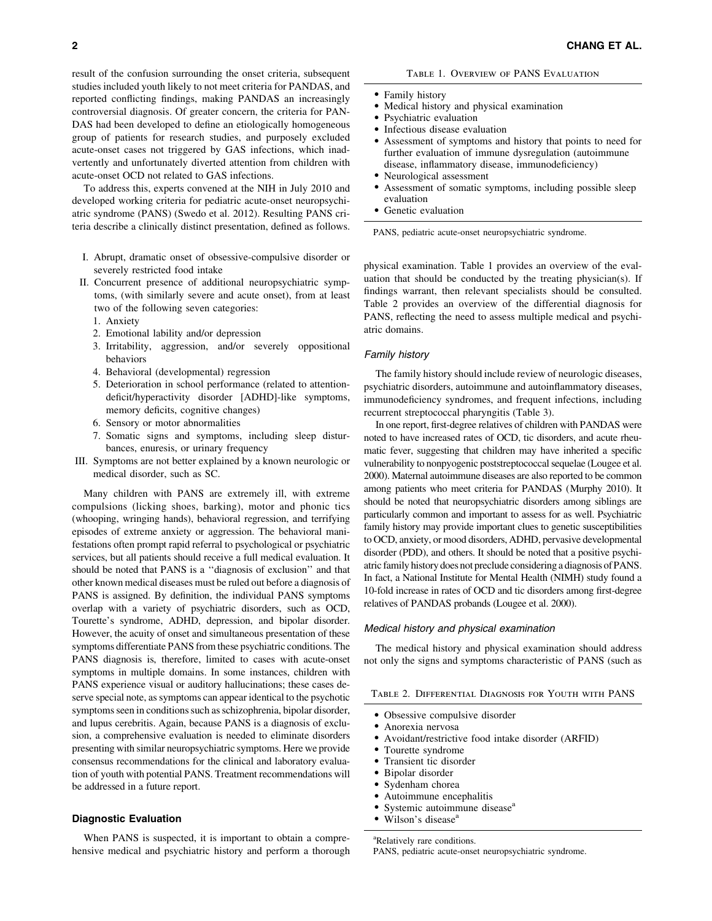result of the confusion surrounding the onset criteria, subsequent studies included youth likely to not meet criteria for PANDAS, and reported conflicting findings, making PANDAS an increasingly controversial diagnosis. Of greater concern, the criteria for PAN-DAS had been developed to define an etiologically homogeneous group of patients for research studies, and purposely excluded acute-onset cases not triggered by GAS infections, which inadvertently and unfortunately diverted attention from children with acute-onset OCD not related to GAS infections.

To address this, experts convened at the NIH in July 2010 and developed working criteria for pediatric acute-onset neuropsychiatric syndrome (PANS) (Swedo et al. 2012). Resulting PANS criteria describe a clinically distinct presentation, defined as follows.

- I. Abrupt, dramatic onset of obsessive-compulsive disorder or severely restricted food intake
- II. Concurrent presence of additional neuropsychiatric symptoms, (with similarly severe and acute onset), from at least two of the following seven categories:
	- 1. Anxiety
	- 2. Emotional lability and/or depression
	- 3. Irritability, aggression, and/or severely oppositional behaviors
	- 4. Behavioral (developmental) regression
	- 5. Deterioration in school performance (related to attentiondeficit/hyperactivity disorder [ADHD]-like symptoms, memory deficits, cognitive changes)
	- 6. Sensory or motor abnormalities
	- 7. Somatic signs and symptoms, including sleep disturbances, enuresis, or urinary frequency
- III. Symptoms are not better explained by a known neurologic or medical disorder, such as SC.

Many children with PANS are extremely ill, with extreme compulsions (licking shoes, barking), motor and phonic tics (whooping, wringing hands), behavioral regression, and terrifying episodes of extreme anxiety or aggression. The behavioral manifestations often prompt rapid referral to psychological or psychiatric services, but all patients should receive a full medical evaluation. It should be noted that PANS is a ''diagnosis of exclusion'' and that other known medical diseases must be ruled out before a diagnosis of PANS is assigned. By definition, the individual PANS symptoms overlap with a variety of psychiatric disorders, such as OCD, Tourette's syndrome, ADHD, depression, and bipolar disorder. However, the acuity of onset and simultaneous presentation of these symptoms differentiate PANS from these psychiatric conditions. The PANS diagnosis is, therefore, limited to cases with acute-onset symptoms in multiple domains. In some instances, children with PANS experience visual or auditory hallucinations; these cases deserve special note, as symptoms can appear identical to the psychotic symptoms seen in conditions such as schizophrenia, bipolar disorder, and lupus cerebritis. Again, because PANS is a diagnosis of exclusion, a comprehensive evaluation is needed to eliminate disorders presenting with similar neuropsychiatric symptoms. Here we provide consensus recommendations for the clinical and laboratory evaluation of youth with potential PANS. Treatment recommendations will be addressed in a future report.

# Diagnostic Evaluation

When PANS is suspected, it is important to obtain a comprehensive medical and psychiatric history and perform a thorough

#### Table 1. Overview of PANS Evaluation

- Family history
- Medical history and physical examination
- Psychiatric evaluation
- Infectious disease evaluation
- $\bullet$  Assessment of symptoms and history that points to need for further evaluation of immune dysregulation (autoimmune disease, inflammatory disease, immunodeficiency)
- Neurological assessment
- $\bullet$  Assessment of somatic symptoms, including possible sleep evaluation
- Genetic evaluation

PANS, pediatric acute-onset neuropsychiatric syndrome.

physical examination. Table 1 provides an overview of the evaluation that should be conducted by the treating physician(s). If findings warrant, then relevant specialists should be consulted. Table 2 provides an overview of the differential diagnosis for PANS, reflecting the need to assess multiple medical and psychiatric domains.

## Family history

The family history should include review of neurologic diseases, psychiatric disorders, autoimmune and autoinflammatory diseases, immunodeficiency syndromes, and frequent infections, including recurrent streptococcal pharyngitis (Table 3).

In one report, first-degree relatives of children with PANDAS were noted to have increased rates of OCD, tic disorders, and acute rheumatic fever, suggesting that children may have inherited a specific vulnerability to nonpyogenic poststreptococcal sequelae (Lougee et al. 2000). Maternal autoimmune diseases are also reported to be common among patients who meet criteria for PANDAS (Murphy 2010). It should be noted that neuropsychiatric disorders among siblings are particularly common and important to assess for as well. Psychiatric family history may provide important clues to genetic susceptibilities to OCD, anxiety, or mood disorders, ADHD, pervasive developmental disorder (PDD), and others. It should be noted that a positive psychiatric family history does not preclude considering a diagnosis of PANS. In fact, a National Institute for Mental Health (NIMH) study found a 10-fold increase in rates of OCD and tic disorders among first-degree relatives of PANDAS probands (Lougee et al. 2000).

### Medical history and physical examination

The medical history and physical examination should address not only the signs and symptoms characteristic of PANS (such as

## Table 2. Differential Diagnosis for Youth with PANS

- Obsessive compulsive disorder
- Anorexia nervosa
- Avoidant/restrictive food intake disorder (ARFID)
- Tourette syndrome
- $\bullet$ Transient tic disorder
- -Bipolar disorder
- $\bullet$ Sydenham chorea
- $\bullet$ Autoimmune encephalitis
- $\bullet$ Systemic autoimmune disease<sup>a</sup>
- Wilson's disease<sup>a</sup>

<sup>a</sup>Relatively rare conditions. PANS, pediatric acute-onset neuropsychiatric syndrome.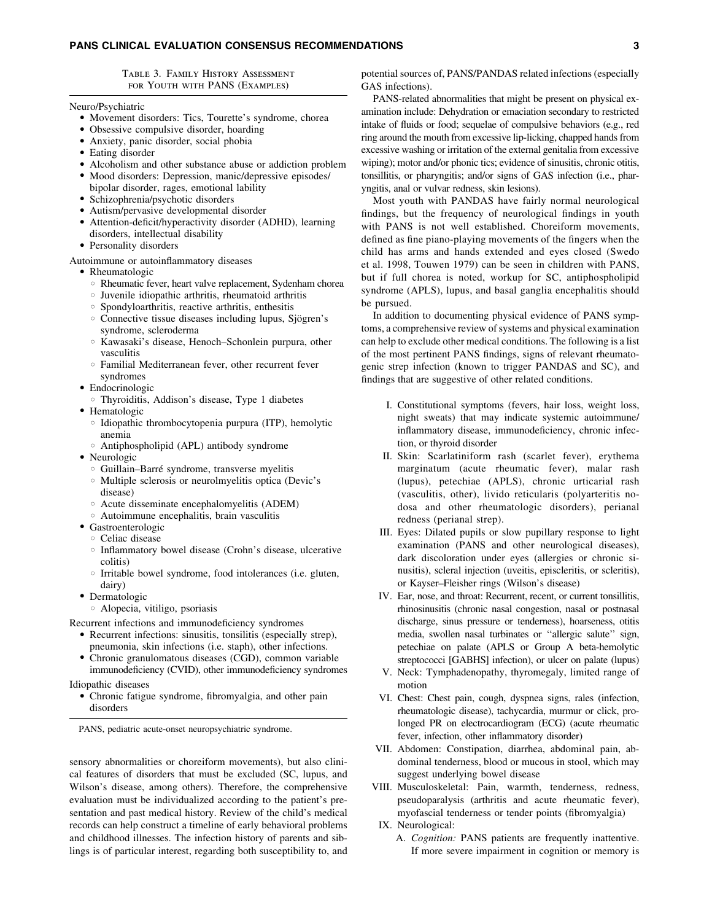## PANS CLINICAL EVALUATION CONSENSUS RECOMMENDATIONS  $\,$  3  $\,$

Table 3. Family History Assessment for Youth with PANS (Examples)

Neuro/Psychiatric

- Movement disorders: Tics, Tourette's syndrome, chorea
- Obsessive compulsive disorder, hoarding
- Anxiety, panic disorder, social phobia
- Eating disorder
- Alcoholism and other substance abuse or addiction problem
- Mood disorders: Depression, manic/depressive episodes/ bipolar disorder, rages, emotional lability
- Schizophrenia/psychotic disorders
- Autism/pervasive developmental disorder
- Attention-deficit/hyperactivity disorder (ADHD), learning
- disorders, intellectual disability
- Personality disorders

Autoimmune or autoinflammatory diseases

- Rheumatologic
	- <sup>o</sup> Rheumatic fever, heart valve replacement, Sydenham chorea
	- $\circ$  Juvenile idiopathic arthritis, rheumatoid arthritis
	- $\circ$  Spondyloarthritis, reactive arthritis, enthesitis
	- Connective tissue diseases including lupus, Sjögren's syndrome, scleroderma
	- Kawasaki's disease, Henoch–Schonlein purpura, other vasculitis
	- <sup>o</sup> Familial Mediterranean fever, other recurrent fever syndromes
- Endocrinologic
- o Thyroiditis, Addison's disease, Type 1 diabetes
- · Hematologic
	- $\circ$  Idiopathic thrombocytopenia purpura (ITP), hemolytic anemia
- $\circ$  Antiphospholipid (APL) antibody syndrome
- Neurologic
	- $\circ$  Guillain–Barré syndrome, transverse myelitis
	- $\circ$  Multiple sclerosis or neurolmyelitis optica (Devic's disease)
	- $\circ$  Acute disseminate encephalomyelitis (ADEM)
- $\circ$  Autoimmune encephalitis, brain vasculitis
- Gastroenterologic
	- $\circ$  Celiac disease
	- o Inflammatory bowel disease (Crohn's disease, ulcerative colitis)
- $\circ$  Irritable bowel syndrome, food intolerances (i.e. gluten, dairy)
- · Dermatologic
	- $\circ$  Alopecia, vitiligo, psoriasis

Recurrent infections and immunodeficiency syndromes

- Recurrent infections: sinusitis, tonsilitis (especially strep), pneumonia, skin infections (i.e. staph), other infections.
- Chronic granulomatous diseases (CGD), common variable immunodeficiency (CVID), other immunodeficiency syndromes

Idiopathic diseases

- Chronic fatigue syndrome, fibromyalgia, and other pain disorders

PANS, pediatric acute-onset neuropsychiatric syndrome.

sensory abnormalities or choreiform movements), but also clinical features of disorders that must be excluded (SC, lupus, and Wilson's disease, among others). Therefore, the comprehensive evaluation must be individualized according to the patient's presentation and past medical history. Review of the child's medical records can help construct a timeline of early behavioral problems and childhood illnesses. The infection history of parents and siblings is of particular interest, regarding both susceptibility to, and potential sources of, PANS/PANDAS related infections (especially GAS infections).

PANS-related abnormalities that might be present on physical examination include: Dehydration or emaciation secondary to restricted intake of fluids or food; sequelae of compulsive behaviors (e.g., red ring around the mouth from excessive lip-licking, chapped hands from excessive washing or irritation of the external genitalia from excessive wiping); motor and/or phonic tics; evidence of sinusitis, chronic otitis, tonsillitis, or pharyngitis; and/or signs of GAS infection (i.e., pharyngitis, anal or vulvar redness, skin lesions).

Most youth with PANDAS have fairly normal neurological findings, but the frequency of neurological findings in youth with PANS is not well established. Choreiform movements, defined as fine piano-playing movements of the fingers when the child has arms and hands extended and eyes closed (Swedo et al. 1998, Touwen 1979) can be seen in children with PANS, but if full chorea is noted, workup for SC, antiphospholipid syndrome (APLS), lupus, and basal ganglia encephalitis should be pursued.

In addition to documenting physical evidence of PANS symptoms, a comprehensive review of systems and physical examination can help to exclude other medical conditions. The following is a list of the most pertinent PANS findings, signs of relevant rheumatogenic strep infection (known to trigger PANDAS and SC), and findings that are suggestive of other related conditions.

- I. Constitutional symptoms (fevers, hair loss, weight loss, night sweats) that may indicate systemic autoimmune/ inflammatory disease, immunodeficiency, chronic infection, or thyroid disorder
- II. Skin: Scarlatiniform rash (scarlet fever), erythema marginatum (acute rheumatic fever), malar rash (lupus), petechiae (APLS), chronic urticarial rash (vasculitis, other), livido reticularis (polyarteritis nodosa and other rheumatologic disorders), perianal redness (perianal strep).
- III. Eyes: Dilated pupils or slow pupillary response to light examination (PANS and other neurological diseases), dark discoloration under eyes (allergies or chronic sinusitis), scleral injection (uveitis, episcleritis, or scleritis), or Kayser–Fleisher rings (Wilson's disease)
- IV. Ear, nose, and throat: Recurrent, recent, or current tonsillitis, rhinosinusitis (chronic nasal congestion, nasal or postnasal discharge, sinus pressure or tenderness), hoarseness, otitis media, swollen nasal turbinates or ''allergic salute'' sign, petechiae on palate (APLS or Group A beta-hemolytic streptococci [GABHS] infection), or ulcer on palate (lupus)
- V. Neck: Tymphadenopathy, thyromegaly, limited range of motion
- VI. Chest: Chest pain, cough, dyspnea signs, rales (infection, rheumatologic disease), tachycardia, murmur or click, prolonged PR on electrocardiogram (ECG) (acute rheumatic fever, infection, other inflammatory disorder)
- VII. Abdomen: Constipation, diarrhea, abdominal pain, abdominal tenderness, blood or mucous in stool, which may suggest underlying bowel disease
- VIII. Musculoskeletal: Pain, warmth, tenderness, redness, pseudoparalysis (arthritis and acute rheumatic fever), myofascial tenderness or tender points (fibromyalgia)
- IX. Neurological:
	- A. Cognition: PANS patients are frequently inattentive. If more severe impairment in cognition or memory is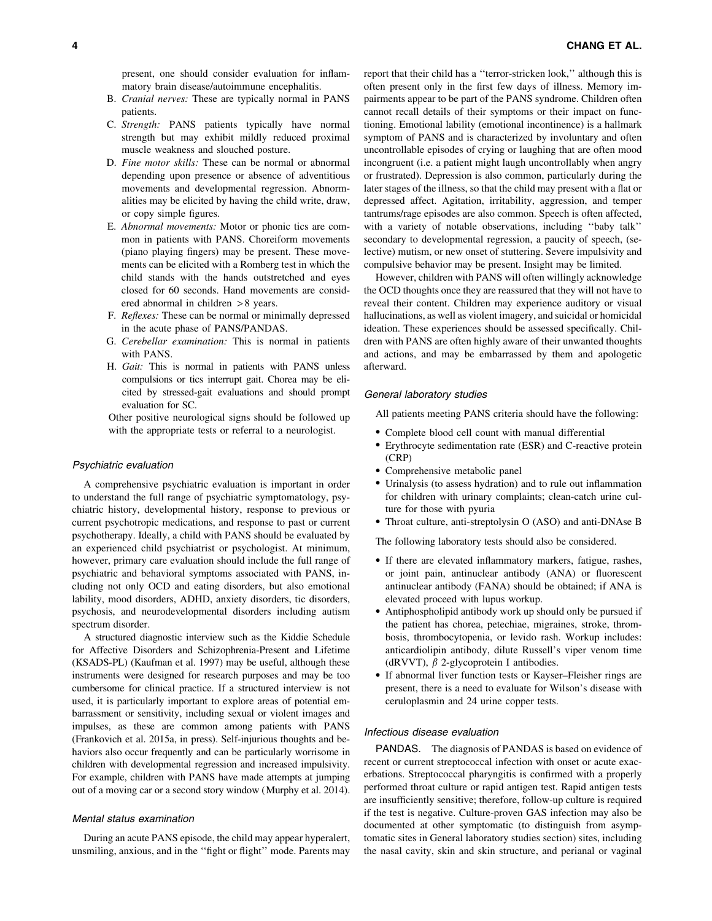present, one should consider evaluation for inflammatory brain disease/autoimmune encephalitis.

- B. Cranial nerves: These are typically normal in PANS patients.
- C. Strength: PANS patients typically have normal strength but may exhibit mildly reduced proximal muscle weakness and slouched posture.
- D. Fine motor skills: These can be normal or abnormal depending upon presence or absence of adventitious movements and developmental regression. Abnormalities may be elicited by having the child write, draw, or copy simple figures.
- E. Abnormal movements: Motor or phonic tics are common in patients with PANS. Choreiform movements (piano playing fingers) may be present. These movements can be elicited with a Romberg test in which the child stands with the hands outstretched and eyes closed for 60 seconds. Hand movements are considered abnormal in children > 8 years.
- F. Reflexes: These can be normal or minimally depressed in the acute phase of PANS/PANDAS.
- G. Cerebellar examination: This is normal in patients with PANS.
- H. Gait: This is normal in patients with PANS unless compulsions or tics interrupt gait. Chorea may be elicited by stressed-gait evaluations and should prompt evaluation for SC.

Other positive neurological signs should be followed up with the appropriate tests or referral to a neurologist.

#### Psychiatric evaluation

A comprehensive psychiatric evaluation is important in order to understand the full range of psychiatric symptomatology, psychiatric history, developmental history, response to previous or current psychotropic medications, and response to past or current psychotherapy. Ideally, a child with PANS should be evaluated by an experienced child psychiatrist or psychologist. At minimum, however, primary care evaluation should include the full range of psychiatric and behavioral symptoms associated with PANS, including not only OCD and eating disorders, but also emotional lability, mood disorders, ADHD, anxiety disorders, tic disorders, psychosis, and neurodevelopmental disorders including autism spectrum disorder.

A structured diagnostic interview such as the Kiddie Schedule for Affective Disorders and Schizophrenia-Present and Lifetime (KSADS-PL) (Kaufman et al. 1997) may be useful, although these instruments were designed for research purposes and may be too cumbersome for clinical practice. If a structured interview is not used, it is particularly important to explore areas of potential embarrassment or sensitivity, including sexual or violent images and impulses, as these are common among patients with PANS (Frankovich et al. 2015a, in press). Self-injurious thoughts and behaviors also occur frequently and can be particularly worrisome in children with developmental regression and increased impulsivity. For example, children with PANS have made attempts at jumping out of a moving car or a second story window (Murphy et al. 2014).

### Mental status examination

During an acute PANS episode, the child may appear hyperalert, unsmiling, anxious, and in the ''fight or flight'' mode. Parents may report that their child has a ''terror-stricken look,'' although this is often present only in the first few days of illness. Memory impairments appear to be part of the PANS syndrome. Children often cannot recall details of their symptoms or their impact on functioning. Emotional lability (emotional incontinence) is a hallmark symptom of PANS and is characterized by involuntary and often uncontrollable episodes of crying or laughing that are often mood incongruent (i.e. a patient might laugh uncontrollably when angry or frustrated). Depression is also common, particularly during the later stages of the illness, so that the child may present with a flat or depressed affect. Agitation, irritability, aggression, and temper tantrums/rage episodes are also common. Speech is often affected, with a variety of notable observations, including ''baby talk'' secondary to developmental regression, a paucity of speech, (selective) mutism, or new onset of stuttering. Severe impulsivity and compulsive behavior may be present. Insight may be limited.

However, children with PANS will often willingly acknowledge the OCD thoughts once they are reassured that they will not have to reveal their content. Children may experience auditory or visual hallucinations, as well as violent imagery, and suicidal or homicidal ideation. These experiences should be assessed specifically. Children with PANS are often highly aware of their unwanted thoughts and actions, and may be embarrassed by them and apologetic afterward.

### General laboratory studies

All patients meeting PANS criteria should have the following:

- Complete blood cell count with manual differential
- Erythrocyte sedimentation rate (ESR) and C-reactive protein (CRP)
- Comprehensive metabolic panel
- Urinalysis (to assess hydration) and to rule out inflammation for children with urinary complaints; clean-catch urine culture for those with pyuria
- Throat culture, anti-streptolysin O (ASO) and anti-DNAse B

The following laboratory tests should also be considered.

- If there are elevated inflammatory markers, fatigue, rashes, or joint pain, antinuclear antibody (ANA) or fluorescent antinuclear antibody (FANA) should be obtained; if ANA is elevated proceed with lupus workup.
- Antiphospholipid antibody work up should only be pursued if the patient has chorea, petechiae, migraines, stroke, thrombosis, thrombocytopenia, or levido rash. Workup includes: anticardiolipin antibody, dilute Russell's viper venom time (dRVVT),  $\beta$  2-glycoprotein I antibodies.
- If abnormal liver function tests or Kayser–Fleisher rings are present, there is a need to evaluate for Wilson's disease with ceruloplasmin and 24 urine copper tests.

## Infectious disease evaluation

PANDAS. The diagnosis of PANDAS is based on evidence of recent or current streptococcal infection with onset or acute exacerbations. Streptococcal pharyngitis is confirmed with a properly performed throat culture or rapid antigen test. Rapid antigen tests are insufficiently sensitive; therefore, follow-up culture is required if the test is negative. Culture-proven GAS infection may also be documented at other symptomatic (to distinguish from asymptomatic sites in General laboratory studies section) sites, including the nasal cavity, skin and skin structure, and perianal or vaginal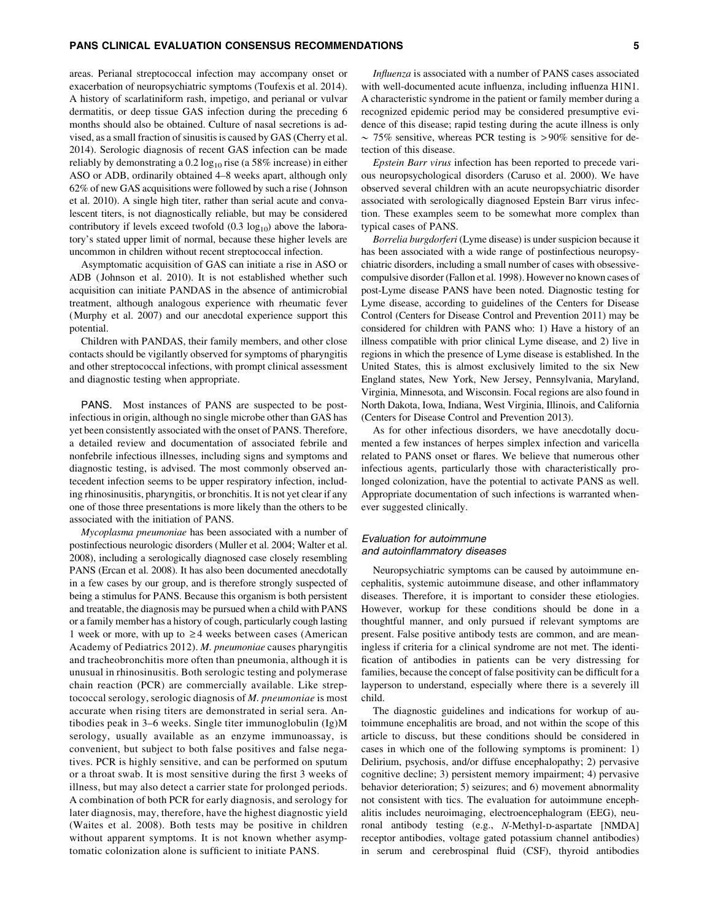## PANS CLINICAL EVALUATION CONSENSUS RECOMMENDATIONS 5

areas. Perianal streptococcal infection may accompany onset or exacerbation of neuropsychiatric symptoms (Toufexis et al. 2014). A history of scarlatiniform rash, impetigo, and perianal or vulvar dermatitis, or deep tissue GAS infection during the preceding 6 months should also be obtained. Culture of nasal secretions is advised, as a small fraction of sinusitis is caused by GAS (Cherry et al. 2014). Serologic diagnosis of recent GAS infection can be made reliably by demonstrating a  $0.2 \log_{10}$  rise (a 58% increase) in either ASO or ADB, ordinarily obtained 4–8 weeks apart, although only 62% of new GAS acquisitions were followed by such a rise ( Johnson et al. 2010). A single high titer, rather than serial acute and convalescent titers, is not diagnostically reliable, but may be considered contributory if levels exceed twofold  $(0.3 \log_{10})$  above the laboratory's stated upper limit of normal, because these higher levels are uncommon in children without recent streptococcal infection.

Asymptomatic acquisition of GAS can initiate a rise in ASO or ADB ( Johnson et al. 2010). It is not established whether such acquisition can initiate PANDAS in the absence of antimicrobial treatment, although analogous experience with rheumatic fever (Murphy et al. 2007) and our anecdotal experience support this potential.

Children with PANDAS, their family members, and other close contacts should be vigilantly observed for symptoms of pharyngitis and other streptococcal infections, with prompt clinical assessment and diagnostic testing when appropriate.

PANS. Most instances of PANS are suspected to be postinfectious in origin, although no single microbe other than GAS has yet been consistently associated with the onset of PANS. Therefore, a detailed review and documentation of associated febrile and nonfebrile infectious illnesses, including signs and symptoms and diagnostic testing, is advised. The most commonly observed antecedent infection seems to be upper respiratory infection, including rhinosinusitis, pharyngitis, or bronchitis. It is not yet clear if any one of those three presentations is more likely than the others to be associated with the initiation of PANS.

Mycoplasma pneumoniae has been associated with a number of postinfectious neurologic disorders (Muller et al. 2004; Walter et al. 2008), including a serologically diagnosed case closely resembling PANS (Ercan et al. 2008). It has also been documented anecdotally in a few cases by our group, and is therefore strongly suspected of being a stimulus for PANS. Because this organism is both persistent and treatable, the diagnosis may be pursued when a child with PANS or a family member has a history of cough, particularly cough lasting 1 week or more, with up to  $\geq$  4 weeks between cases (American Academy of Pediatrics 2012). M. pneumoniae causes pharyngitis and tracheobronchitis more often than pneumonia, although it is unusual in rhinosinusitis. Both serologic testing and polymerase chain reaction (PCR) are commercially available. Like streptococcal serology, serologic diagnosis of M. pneumoniae is most accurate when rising titers are demonstrated in serial sera. Antibodies peak in 3–6 weeks. Single titer immunoglobulin (Ig)M serology, usually available as an enzyme immunoassay, is convenient, but subject to both false positives and false negatives. PCR is highly sensitive, and can be performed on sputum or a throat swab. It is most sensitive during the first 3 weeks of illness, but may also detect a carrier state for prolonged periods. A combination of both PCR for early diagnosis, and serology for later diagnosis, may, therefore, have the highest diagnostic yield (Waites et al. 2008). Both tests may be positive in children without apparent symptoms. It is not known whether asymptomatic colonization alone is sufficient to initiate PANS.

Influenza is associated with a number of PANS cases associated with well-documented acute influenza, including influenza H1N1. A characteristic syndrome in the patient or family member during a recognized epidemic period may be considered presumptive evidence of this disease; rapid testing during the acute illness is only  $\sim$  75% sensitive, whereas PCR testing is > 90% sensitive for detection of this disease.

Epstein Barr virus infection has been reported to precede various neuropsychological disorders (Caruso et al. 2000). We have observed several children with an acute neuropsychiatric disorder associated with serologically diagnosed Epstein Barr virus infection. These examples seem to be somewhat more complex than typical cases of PANS.

Borrelia burgdorferi (Lyme disease) is under suspicion because it has been associated with a wide range of postinfectious neuropsychiatric disorders, including a small number of cases with obsessivecompulsive disorder (Fallon et al. 1998). However no known cases of post-Lyme disease PANS have been noted. Diagnostic testing for Lyme disease, according to guidelines of the Centers for Disease Control (Centers for Disease Control and Prevention 2011) may be considered for children with PANS who: 1) Have a history of an illness compatible with prior clinical Lyme disease, and 2) live in regions in which the presence of Lyme disease is established. In the United States, this is almost exclusively limited to the six New England states, New York, New Jersey, Pennsylvania, Maryland, Virginia, Minnesota, and Wisconsin. Focal regions are also found in North Dakota, Iowa, Indiana, West Virginia, Illinois, and California (Centers for Disease Control and Prevention 2013).

As for other infectious disorders, we have anecdotally documented a few instances of herpes simplex infection and varicella related to PANS onset or flares. We believe that numerous other infectious agents, particularly those with characteristically prolonged colonization, have the potential to activate PANS as well. Appropriate documentation of such infections is warranted whenever suggested clinically.

## Evaluation for autoimmune and autoinflammatory diseases

Neuropsychiatric symptoms can be caused by autoimmune encephalitis, systemic autoimmune disease, and other inflammatory diseases. Therefore, it is important to consider these etiologies. However, workup for these conditions should be done in a thoughtful manner, and only pursued if relevant symptoms are present. False positive antibody tests are common, and are meaningless if criteria for a clinical syndrome are not met. The identification of antibodies in patients can be very distressing for families, because the concept of false positivity can be difficult for a layperson to understand, especially where there is a severely ill child.

The diagnostic guidelines and indications for workup of autoimmune encephalitis are broad, and not within the scope of this article to discuss, but these conditions should be considered in cases in which one of the following symptoms is prominent: 1) Delirium, psychosis, and/or diffuse encephalopathy; 2) pervasive cognitive decline; 3) persistent memory impairment; 4) pervasive behavior deterioration; 5) seizures; and 6) movement abnormality not consistent with tics. The evaluation for autoimmune encephalitis includes neuroimaging, electroencephalogram (EEG), neuronal antibody testing (e.g., N-Methyl-D-aspartate [NMDA] receptor antibodies, voltage gated potassium channel antibodies) in serum and cerebrospinal fluid (CSF), thyroid antibodies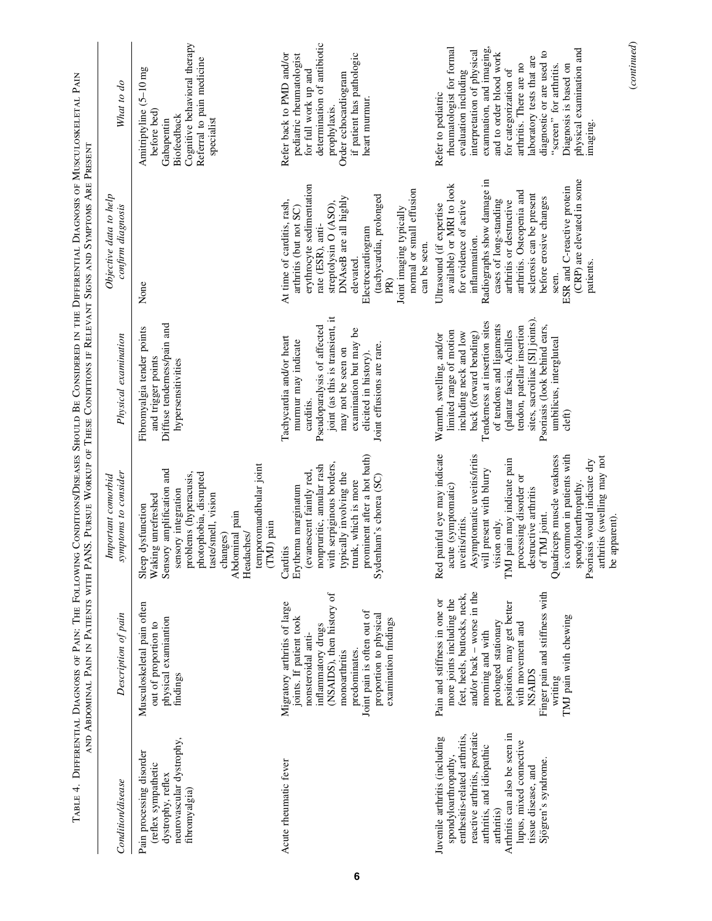|                                                                                                                                                                                                                                                                              |                                                                                                                                                                                                                                                                                                                | TABLE 4. DIFFERENTIAL DIAGNOSIS OF PAIN: THE FOLLOWING CONDITIONS/DISEASES SHOULD BE CONSIDERED IN THE DIFFERENTIAL DIAGNOSIS OF MUSCULOSKELETAL PAIN<br>and Abdominal Pain in Pattent's with PANS. Pursue Workup of These Conditions if Relevant Signs and Symptoms Are Present                                                                                                                                           |                                                                                                                                                                                                                                                                                                                                        |                                                                                                                                                                                                                                                                                                                                                           |                                                                                                                                                                                                                                                                                                                                                                        |
|------------------------------------------------------------------------------------------------------------------------------------------------------------------------------------------------------------------------------------------------------------------------------|----------------------------------------------------------------------------------------------------------------------------------------------------------------------------------------------------------------------------------------------------------------------------------------------------------------|----------------------------------------------------------------------------------------------------------------------------------------------------------------------------------------------------------------------------------------------------------------------------------------------------------------------------------------------------------------------------------------------------------------------------|----------------------------------------------------------------------------------------------------------------------------------------------------------------------------------------------------------------------------------------------------------------------------------------------------------------------------------------|-----------------------------------------------------------------------------------------------------------------------------------------------------------------------------------------------------------------------------------------------------------------------------------------------------------------------------------------------------------|------------------------------------------------------------------------------------------------------------------------------------------------------------------------------------------------------------------------------------------------------------------------------------------------------------------------------------------------------------------------|
| Condition/disease                                                                                                                                                                                                                                                            | Description of pain                                                                                                                                                                                                                                                                                            | symptoms to consider<br>Important comorbid                                                                                                                                                                                                                                                                                                                                                                                 | Physical examination                                                                                                                                                                                                                                                                                                                   | Objective data to help<br>confirm diagnosis                                                                                                                                                                                                                                                                                                               | What to do                                                                                                                                                                                                                                                                                                                                                             |
| neurovascular dystrophy,<br>Pain processing disorder<br>(reflex sympathetic<br>dystrophy, reflex<br>fibromyalgia)                                                                                                                                                            | Musculoskeletal pain often<br>physical examiantion<br>out of proportion to<br>findings                                                                                                                                                                                                                         | temporomandibular joint<br>Sensory amplification and<br>photophobia, disrupted<br>problems (hyperacusis,<br>sensory integration<br>taste/smell, vision<br>Waking unrefreshed<br>Sleep dysfunction<br>Abdominal pain<br>(TMJ) pain<br>Headaches/<br>changes)                                                                                                                                                                | Diffuse tenderness/pain and<br>Fibromyalgia tender points<br>and trigger points<br>hypersensitivities                                                                                                                                                                                                                                  | None                                                                                                                                                                                                                                                                                                                                                      | Cognitive behavioral therapy<br>Referral to pain medicine<br>Amitriptyline (5-10 mg<br>before bed)<br>Biofeedback<br>specialist<br>Gabapentin                                                                                                                                                                                                                          |
| Acute rheumatic fever                                                                                                                                                                                                                                                        | (NSAIDS), then history of<br>Migratory arthritis of large<br>Joint pain is often out of<br>proportion to physical<br>joints. If patient took<br>examination findings<br>inflammatory drugs<br>nonsteroidal anti-<br>predominates.<br>monoarthritis                                                             | prominent after a hot bath)<br>with serpiginous borders,<br>nonpruritic, annular rash<br>(evanescent faintly red,<br>typically involving the<br>Sydenham's chorea (SC)<br>trunk, which is more<br>Erythema marginatum<br>Carditis                                                                                                                                                                                          | joint (as this is transient, it<br>Pseudoparalysis of affected<br><b>be</b><br>Tachycardia and/or heart<br>murmur may indicate<br>examination but may<br>Joint effusions are rare.<br>may not be seen on<br>elicited in history).<br>carditis.                                                                                         | erythrocyte sedimentation<br>normal or small effusion<br>(tachycardia, prolonged<br>DNAseB are all highly<br>At time of carditis, rash,<br>streptolysin O (ASO),<br>arthritis (but not SC)<br>Joint imaging typically<br>rate (ESR), anti-<br>Electrocardiogram<br>can be seen.<br>elevated.<br>PR)                                                       | determination of antibiotic<br>Refer back to PMD and/or<br>if patient has pathologic<br>pediatric rheumatologist<br>for full work up and<br>Order echocardiogram<br>heart murnur.<br>prophylaxis.                                                                                                                                                                      |
| reactive arthritis, psoriatic<br>Arthritis can also be seen in<br>enthesitis-related arthritis,<br>Juvenile arthritis (including<br>lupus, mixed connective<br>arthritis, and idiopathic<br>spondyloarthropathy,<br>Sjögren's syndrome.<br>tissue disease, and<br>arthritis) | and/or back $-$ worse in the<br>Finger pain and stiffness with<br>feet, heels, buttocks, neck,<br>more joints including the<br>Pain and stiffness in one or<br>positions, may get better<br>TMJ pain with chewing<br>prolonged stationary<br>with movement and<br>morning and with<br><b>NSAIDS</b><br>writing | Red painful eye may indicate<br>Asymptomatic uveitis/iritis<br>is common in patients with<br>Quadriceps muscle weakness<br>arthritis (swelling may not<br>TMJ pain may indicate pain<br>Psoriasis would indicate dry<br>will present with blurry<br>processing disorder or<br>spondyloarthropathy.<br>acute (symptomatic)<br>destructive arthritis<br>of TMJ joint.<br>apparent).<br>uveitis/iritis.<br>vision only.<br>ತಿ | sites, sacroiliac [SI] joints).<br>Tenderness at insertion sites<br>of tendons and ligaments<br>tendon, patellar insertion<br>Psoriasis (look behind ears,<br>plantar fascia, Achilles<br>limited range of motion<br>including neck and low<br>back (forward bending)<br>Warmth, swelling, and/or<br>umbilicus, intergluteal<br>clett) | Radiographs show damage in<br>(CRP) are elevated in some<br>available) or MRI to look<br>ESR and C-reactive protein<br>arthritis. Osteopenia and<br>sclerosis can be present<br>before erosive changes<br>cases of long-standing<br>arthritis or destructive<br>for evidence of active<br>Ultrasound (if expertise<br>inflammation.<br>patients.<br>seen. | rheumatologist for formal<br>examnation, and imaging,<br>physical examination and<br>interpretation of physical<br>diagnostic or are used to<br>and to order blood work<br>laboratory tests that are<br>arthritis. There are no<br>Diagnosis is based on<br>"screen" for arthritis.<br>for categorization of<br>evaluation including<br>Refer to pediatric<br>imaging. |
|                                                                                                                                                                                                                                                                              |                                                                                                                                                                                                                                                                                                                |                                                                                                                                                                                                                                                                                                                                                                                                                            |                                                                                                                                                                                                                                                                                                                                        |                                                                                                                                                                                                                                                                                                                                                           | (continued)                                                                                                                                                                                                                                                                                                                                                            |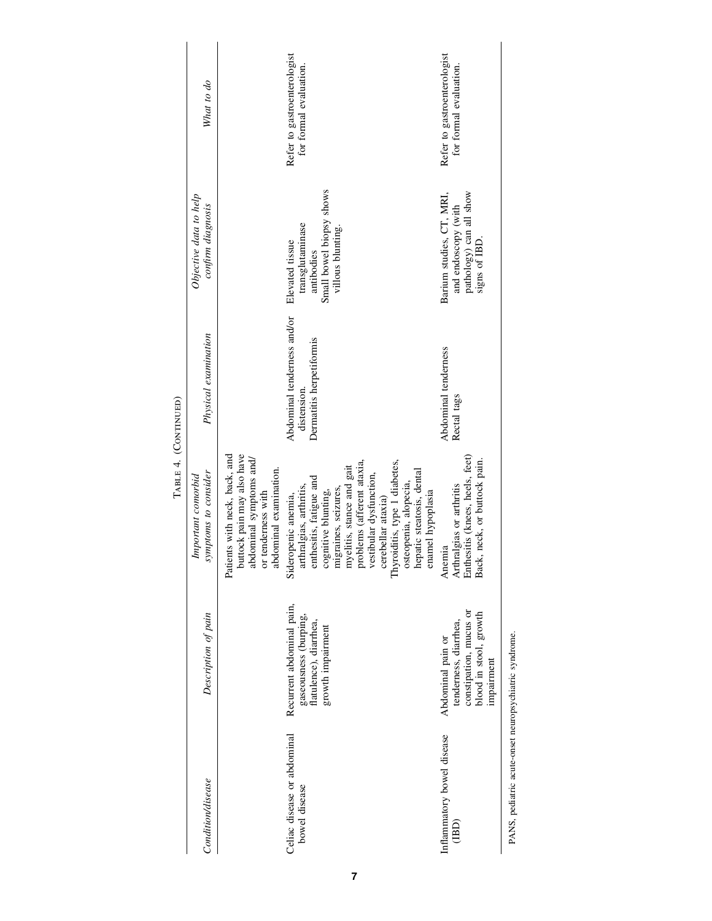| Condition/disease                                    | Description of pain                                                                                          | symptoms to consider<br>Important comorbid                                                                                                                                                                                                                                                                                | Physical examination                    | Objective data to help<br>confirm diagnosis                                                 | What to do                                            |
|------------------------------------------------------|--------------------------------------------------------------------------------------------------------------|---------------------------------------------------------------------------------------------------------------------------------------------------------------------------------------------------------------------------------------------------------------------------------------------------------------------------|-----------------------------------------|---------------------------------------------------------------------------------------------|-------------------------------------------------------|
| Celiac disease or abdominal                          | Recurrent abdominal pain,                                                                                    | Patients with neck, back, and<br>buttock pain may also have<br>bdominal symptoms and/<br>bdominal examination.<br>or tenderness with<br>Sideropenic anemia,<br>ಹ                                                                                                                                                          | Abdominal tenderness and/or             | Elevated tissue                                                                             | Refer to gastroenterologist                           |
| bowel disease                                        | gaseousness (burping,<br>flatulence), diarrhea,<br>growth impairment                                         | Thyroiditis, type 1 diabetes,<br>problems (afferent ataxia,<br>myelitis, stance and gait<br>hepatic steatosis, dental<br>vestibular dysfunction,<br>enthesitis, fatigue and<br>osteopenia, alopecia,<br>arthralgias, arthritis,<br>migraines, seizures,<br>cognitive blunting,<br>enamel hypoplasia<br>cerebellar ataxia) | Dermatitis herpetiformis<br>distension. | Small bowel biopsy shows<br>transglutaminase<br>villous blunting.<br>antibodies             | for formal evaluation.                                |
| Inflammatory bowel disease<br>$\widehat{\mathbb{B}}$ | constipation, mucus or<br>blood in stool, growth<br>tenderness, diarrhea,<br>Abdominal pain or<br>impairment | Enthesitis (knees, heels, feet)<br>Back, neck, or buttock pain.<br>Anemia<br>Arthralgias or arthritis                                                                                                                                                                                                                     | Abdominal tenderness<br>Rectal tags     | pathology) can all show<br>Barium studies, CT, MRI,<br>and endoscopy (with<br>signs of IBD. | Refer to gastroenterologist<br>for formal evaluation. |
|                                                      |                                                                                                              |                                                                                                                                                                                                                                                                                                                           |                                         |                                                                                             |                                                       |

PANS, pediatric acute-onset neuropsychiatric syndrome. PANS, pediatric acute-onset neuropsychiatric syndrome.

TABLE 4. (CONTINUED) Table 4. (Continued)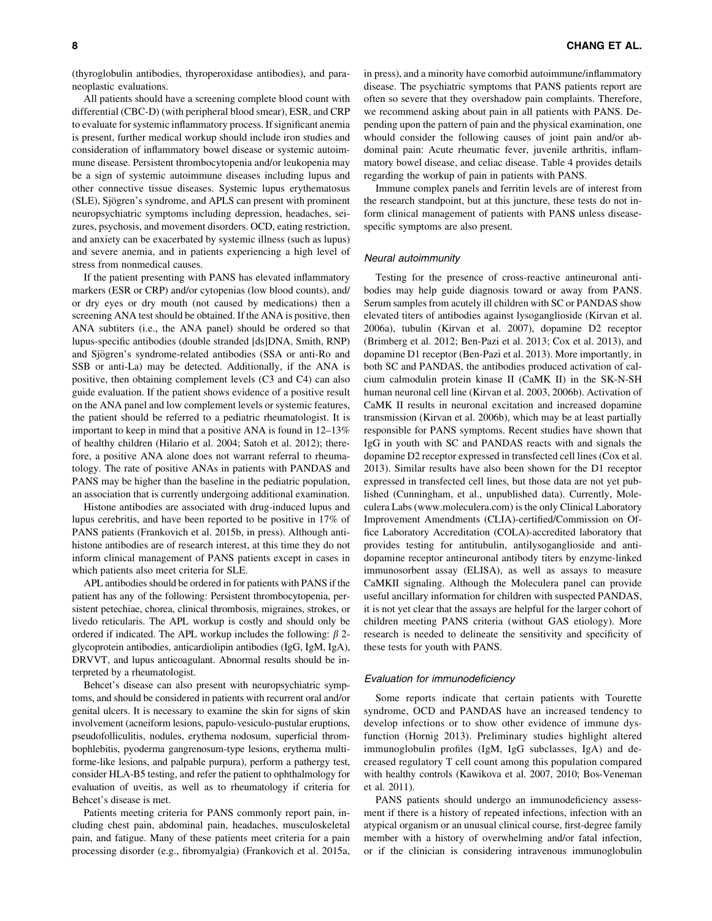(thyroglobulin antibodies, thyroperoxidase antibodies), and paraneoplastic evaluations.

All patients should have a screening complete blood count with differential (CBC-D) (with peripheral blood smear), ESR, and CRP to evaluate for systemic inflammatory process. If significant anemia is present, further medical workup should include iron studies and consideration of inflammatory bowel disease or systemic autoimmune disease. Persistent thrombocytopenia and/or leukopenia may be a sign of systemic autoimmune diseases including lupus and other connective tissue diseases. Systemic lupus erythematosus (SLE), Sjögren's syndrome, and APLS can present with prominent neuropsychiatric symptoms including depression, headaches, seizures, psychosis, and movement disorders. OCD, eating restriction, and anxiety can be exacerbated by systemic illness (such as lupus) and severe anemia, and in patients experiencing a high level of stress from nonmedical causes.

If the patient presenting with PANS has elevated inflammatory markers (ESR or CRP) and/or cytopenias (low blood counts), and/ or dry eyes or dry mouth (not caused by medications) then a screening ANA test should be obtained. If the ANA is positive, then ANA subtiters (i.e., the ANA panel) should be ordered so that lupus-specific antibodies (double stranded [ds]DNA, Smith, RNP) and Sjögren's syndrome-related antibodies (SSA or anti-Ro and SSB or anti-La) may be detected. Additionally, if the ANA is positive, then obtaining complement levels (C3 and C4) can also guide evaluation. If the patient shows evidence of a positive result on the ANA panel and low complement levels or systemic features, the patient should be referred to a pediatric rheumatologist. It is important to keep in mind that a positive ANA is found in 12–13% of healthy children (Hilario et al. 2004; Satoh et al. 2012); therefore, a positive ANA alone does not warrant referral to rheumatology. The rate of positive ANAs in patients with PANDAS and PANS may be higher than the baseline in the pediatric population, an association that is currently undergoing additional examination.

Histone antibodies are associated with drug-induced lupus and lupus cerebritis, and have been reported to be positive in 17% of PANS patients (Frankovich et al. 2015b, in press). Although antihistone antibodies are of research interest, at this time they do not inform clinical management of PANS patients except in cases in which patients also meet criteria for SLE.

APL antibodies should be ordered in for patients with PANS if the patient has any of the following: Persistent thrombocytopenia, persistent petechiae, chorea, clinical thrombosis, migraines, strokes, or livedo reticularis. The APL workup is costly and should only be ordered if indicated. The APL workup includes the following:  $\beta$  2glycoprotein antibodies, anticardiolipin antibodies (IgG, IgM, IgA), DRVVT, and lupus anticoagulant. Abnormal results should be interpreted by a rheumatologist.

Behcet's disease can also present with neuropsychiatric symptoms, and should be considered in patients with recurrent oral and/or genital ulcers. It is necessary to examine the skin for signs of skin involvement (acneiform lesions, papulo-vesiculo-pustular eruptions, pseudofolliculitis, nodules, erythema nodosum, superficial thrombophlebitis, pyoderma gangrenosum-type lesions, erythema multiforme-like lesions, and palpable purpura), perform a pathergy test, consider HLA-B5 testing, and refer the patient to ophthalmology for evaluation of uveitis, as well as to rheumatology if criteria for Behcet's disease is met.

Patients meeting criteria for PANS commonly report pain, including chest pain, abdominal pain, headaches, musculoskeletal pain, and fatigue. Many of these patients meet criteria for a pain processing disorder (e.g., fibromyalgia) (Frankovich et al. 2015a, in press), and a minority have comorbid autoimmune/inflammatory disease. The psychiatric symptoms that PANS patients report are often so severe that they overshadow pain complaints. Therefore, we recommend asking about pain in all patients with PANS. Depending upon the pattern of pain and the physical examination, one whould consider the following causes of joint pain and/or abdominal pain: Acute rheumatic fever, juvenile arthritis, inflammatory bowel disease, and celiac disease. Table 4 provides details regarding the workup of pain in patients with PANS.

Immune complex panels and ferritin levels are of interest from the research standpoint, but at this juncture, these tests do not inform clinical management of patients with PANS unless diseasespecific symptoms are also present.

#### Neural autoimmunity

Testing for the presence of cross-reactive antineuronal antibodies may help guide diagnosis toward or away from PANS. Serum samples from acutely ill children with SC or PANDAS show elevated titers of antibodies against lysoganglioside (Kirvan et al. 2006a), tubulin (Kirvan et al. 2007), dopamine D2 receptor (Brimberg et al. 2012; Ben-Pazi et al. 2013; Cox et al. 2013), and dopamine D1 receptor (Ben-Pazi et al. 2013). More importantly, in both SC and PANDAS, the antibodies produced activation of calcium calmodulin protein kinase II (CaMK II) in the SK-N-SH human neuronal cell line (Kirvan et al. 2003, 2006b). Activation of CaMK II results in neuronal excitation and increased dopamine transmission (Kirvan et al. 2006b), which may be at least partially responsible for PANS symptoms. Recent studies have shown that IgG in youth with SC and PANDAS reacts with and signals the dopamine D2 receptor expressed in transfected cell lines (Cox et al. 2013). Similar results have also been shown for the D1 receptor expressed in transfected cell lines, but those data are not yet published (Cunningham, et al., unpublished data). Currently, Moleculera Labs (www.moleculera.com) is the only Clinical Laboratory Improvement Amendments (CLIA)-certified/Commission on Office Laboratory Accreditation (COLA)-accredited laboratory that provides testing for antitubulin, antilysoganglioside and antidopamine receptor antineuronal antibody titers by enzyme-linked immunosorbent assay (ELISA), as well as assays to measure CaMKII signaling. Although the Moleculera panel can provide useful ancillary information for children with suspected PANDAS, it is not yet clear that the assays are helpful for the larger cohort of children meeting PANS criteria (without GAS etiology). More research is needed to delineate the sensitivity and specificity of these tests for youth with PANS.

## Evaluation for immunodeficiency

Some reports indicate that certain patients with Tourette syndrome, OCD and PANDAS have an increased tendency to develop infections or to show other evidence of immune dysfunction (Hornig 2013). Preliminary studies highlight altered immunoglobulin profiles (IgM, IgG subclasses, IgA) and decreased regulatory T cell count among this population compared with healthy controls (Kawikova et al. 2007, 2010; Bos-Veneman et al. 2011).

PANS patients should undergo an immunodeficiency assessment if there is a history of repeated infections, infection with an atypical organism or an unusual clinical course, first-degree family member with a history of overwhelming and/or fatal infection, or if the clinician is considering intravenous immunoglobulin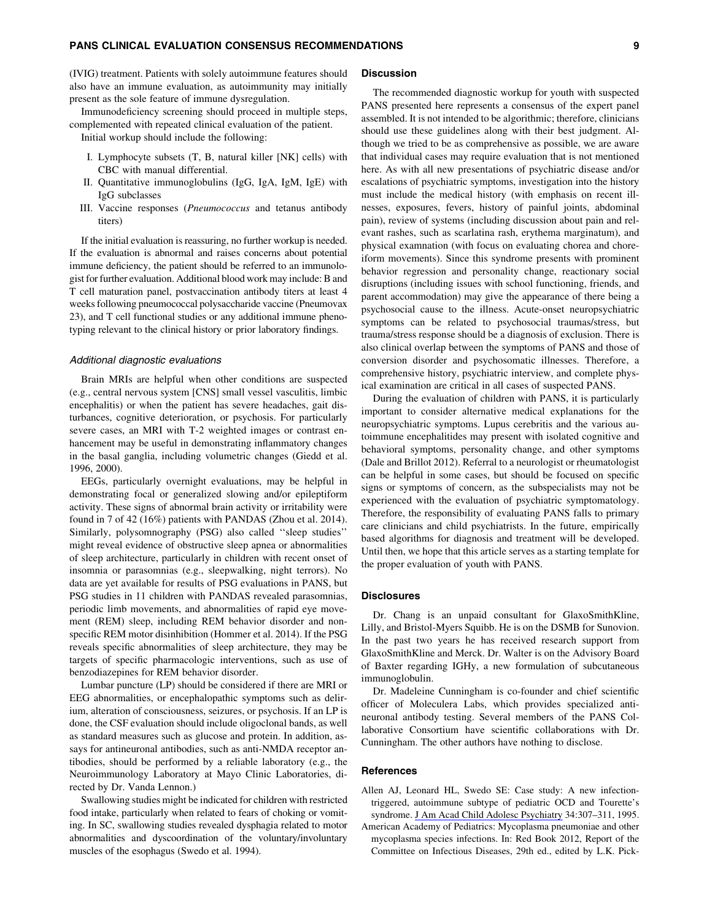(IVIG) treatment. Patients with solely autoimmune features should also have an immune evaluation, as autoimmunity may initially present as the sole feature of immune dysregulation.

Immunodeficiency screening should proceed in multiple steps, complemented with repeated clinical evaluation of the patient.

Initial workup should include the following:

- I. Lymphocyte subsets (T, B, natural killer [NK] cells) with CBC with manual differential.
- II. Quantitative immunoglobulins (IgG, IgA, IgM, IgE) with IgG subclasses
- III. Vaccine responses (Pneumococcus and tetanus antibody titers)

If the initial evaluation is reassuring, no further workup is needed. If the evaluation is abnormal and raises concerns about potential immune deficiency, the patient should be referred to an immunologist for further evaluation. Additional blood work may include: B and T cell maturation panel, postvaccination antibody titers at least 4 weeks following pneumococcal polysaccharide vaccine (Pneumovax 23), and T cell functional studies or any additional immune phenotyping relevant to the clinical history or prior laboratory findings.

## Additional diagnostic evaluations

Brain MRIs are helpful when other conditions are suspected (e.g., central nervous system [CNS] small vessel vasculitis, limbic encephalitis) or when the patient has severe headaches, gait disturbances, cognitive deterioration, or psychosis. For particularly severe cases, an MRI with T-2 weighted images or contrast enhancement may be useful in demonstrating inflammatory changes in the basal ganglia, including volumetric changes (Giedd et al. 1996, 2000).

EEGs, particularly overnight evaluations, may be helpful in demonstrating focal or generalized slowing and/or epileptiform activity. These signs of abnormal brain activity or irritability were found in 7 of 42 (16%) patients with PANDAS (Zhou et al. 2014). Similarly, polysomnography (PSG) also called ''sleep studies'' might reveal evidence of obstructive sleep apnea or abnormalities of sleep architecture, particularly in children with recent onset of insomnia or parasomnias (e.g., sleepwalking, night terrors). No data are yet available for results of PSG evaluations in PANS, but PSG studies in 11 children with PANDAS revealed parasomnias, periodic limb movements, and abnormalities of rapid eye movement (REM) sleep, including REM behavior disorder and nonspecific REM motor disinhibition (Hommer et al. 2014). If the PSG reveals specific abnormalities of sleep architecture, they may be targets of specific pharmacologic interventions, such as use of benzodiazepines for REM behavior disorder.

Lumbar puncture (LP) should be considered if there are MRI or EEG abnormalities, or encephalopathic symptoms such as delirium, alteration of consciousness, seizures, or psychosis. If an LP is done, the CSF evaluation should include oligoclonal bands, as well as standard measures such as glucose and protein. In addition, assays for antineuronal antibodies, such as anti-NMDA receptor antibodies, should be performed by a reliable laboratory (e.g., the Neuroimmunology Laboratory at Mayo Clinic Laboratories, directed by Dr. Vanda Lennon.)

Swallowing studies might be indicated for children with restricted food intake, particularly when related to fears of choking or vomiting. In SC, swallowing studies revealed dysphagia related to motor abnormalities and dyscoordination of the voluntary/involuntary muscles of the esophagus (Swedo et al. 1994).

#### **Discussion**

The recommended diagnostic workup for youth with suspected PANS presented here represents a consensus of the expert panel assembled. It is not intended to be algorithmic; therefore, clinicians should use these guidelines along with their best judgment. Although we tried to be as comprehensive as possible, we are aware that individual cases may require evaluation that is not mentioned here. As with all new presentations of psychiatric disease and/or escalations of psychiatric symptoms, investigation into the history must include the medical history (with emphasis on recent illnesses, exposures, fevers, history of painful joints, abdominal pain), review of systems (including discussion about pain and relevant rashes, such as scarlatina rash, erythema marginatum), and physical examnation (with focus on evaluating chorea and choreiform movements). Since this syndrome presents with prominent behavior regression and personality change, reactionary social disruptions (including issues with school functioning, friends, and parent accommodation) may give the appearance of there being a psychosocial cause to the illness. Acute-onset neuropsychiatric symptoms can be related to psychosocial traumas/stress, but trauma/stress response should be a diagnosis of exclusion. There is also clinical overlap between the symptoms of PANS and those of conversion disorder and psychosomatic illnesses. Therefore, a comprehensive history, psychiatric interview, and complete physical examination are critical in all cases of suspected PANS.

During the evaluation of children with PANS, it is particularly important to consider alternative medical explanations for the neuropsychiatric symptoms. Lupus cerebritis and the various autoimmune encephalitides may present with isolated cognitive and behavioral symptoms, personality change, and other symptoms (Dale and Brillot 2012). Referral to a neurologist or rheumatologist can be helpful in some cases, but should be focused on specific signs or symptoms of concern, as the subspecialists may not be experienced with the evaluation of psychiatric symptomatology. Therefore, the responsibility of evaluating PANS falls to primary care clinicians and child psychiatrists. In the future, empirically based algorithms for diagnosis and treatment will be developed. Until then, we hope that this article serves as a starting template for the proper evaluation of youth with PANS.

## **Disclosures**

Dr. Chang is an unpaid consultant for GlaxoSmithKline, Lilly, and Bristol-Myers Squibb. He is on the DSMB for Sunovion. In the past two years he has received research support from GlaxoSmithKline and Merck. Dr. Walter is on the Advisory Board of Baxter regarding IGHy, a new formulation of subcutaneous immunoglobulin.

Dr. Madeleine Cunningham is co-founder and chief scientific officer of Moleculera Labs, which provides specialized antineuronal antibody testing. Several members of the PANS Collaborative Consortium have scientific collaborations with Dr. Cunningham. The other authors have nothing to disclose.

#### **References**

- Allen AJ, Leonard HL, Swedo SE: Case study: A new infectiontriggered, autoimmune subtype of pediatric OCD and Tourette's syndrome. [J Am Acad Child Adolesc Psychiatry](http://online.liebertpub.com/action/showLinks?pmid=7896671&crossref=10.1097%2F00004583-199503000-00015) 34:307–311, 1995.
- American Academy of Pediatrics: Mycoplasma pneumoniae and other mycoplasma species infections. In: Red Book 2012, Report of the Committee on Infectious Diseases, 29th ed., edited by L.K. Pick-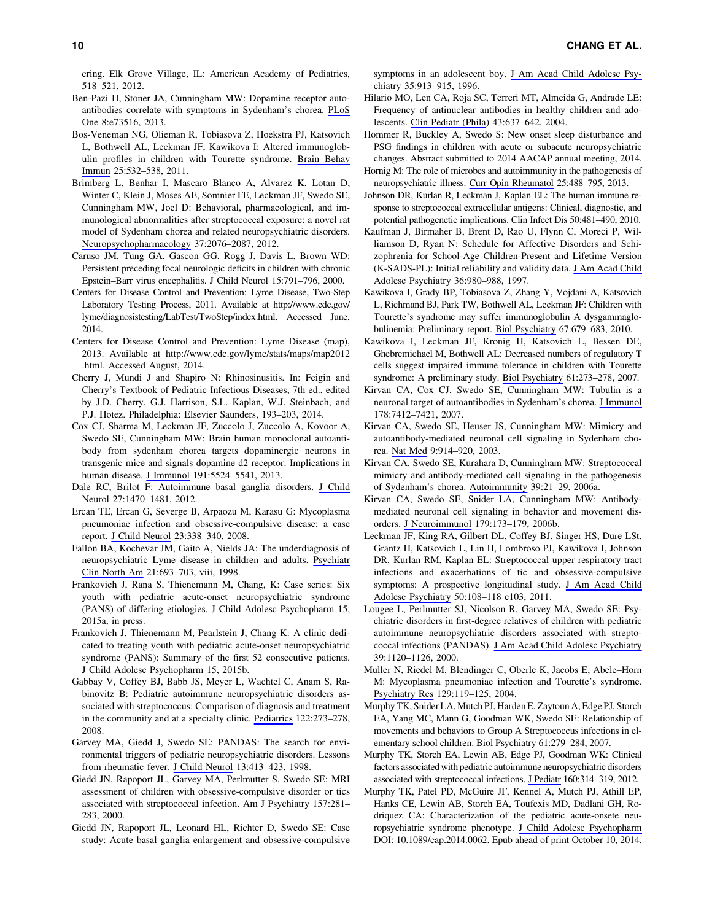- Ben-Pazi H, Stoner JA, Cunningham MW: Dopamine receptor autoantibodies correlate with symptoms in Sydenham's chorea. [PLoS](http://online.liebertpub.com/action/showLinks?pmid=24073196&crossref=10.1371%2Fjournal.pone.0073516) [One](http://online.liebertpub.com/action/showLinks?pmid=24073196&crossref=10.1371%2Fjournal.pone.0073516) 8:e73516, 2013.
- Bos-Veneman NG, Olieman R, Tobiasova Z, Hoekstra PJ, Katsovich L, Bothwell AL, Leckman JF, Kawikova I: Altered immunoglobulin profiles in children with Tourette syndrome. [Brain Behav](http://online.liebertpub.com/action/showLinks?pmid=21156204&crossref=10.1016%2Fj.bbi.2010.12.003) [Immun](http://online.liebertpub.com/action/showLinks?pmid=21156204&crossref=10.1016%2Fj.bbi.2010.12.003) 25:532–538, 2011.
- Brimberg L, Benhar I, Mascaro–Blanco A, Alvarez K, Lotan D, Winter C, Klein J, Moses AE, Somnier FE, Leckman JF, Swedo SE, Cunningham MW, Joel D: Behavioral, pharmacological, and immunological abnormalities after streptococcal exposure: a novel rat model of Sydenham chorea and related neuropsychiatric disorders. [Neuropsychopharmacology](http://online.liebertpub.com/action/showLinks?pmid=22534626&crossref=10.1038%2Fnpp.2012.56) 37:2076–2087, 2012.
- Caruso JM, Tung GA, Gascon GG, Rogg J, Davis L, Brown WD: Persistent preceding focal neurologic deficits in children with chronic Epstein–Barr virus encephalitis. [J Child Neurol](http://online.liebertpub.com/action/showLinks?pmid=11198493&crossref=10.1177%2F088307380001501204) 15:791–796, 2000.
- Centers for Disease Control and Prevention: Lyme Disease, Two-Step Laboratory Testing Process, 2011. Available at http://www.cdc.gov/ lyme/diagnosistesting/LabTest/TwoStep/index.html. Accessed June, 2014.
- Centers for Disease Control and Prevention: Lyme Disease (map), 2013. Available at http://www.cdc.gov/lyme/stats/maps/map2012 .html. Accessed August, 2014.
- Cherry J, Mundi J and Shapiro N: Rhinosinusitis. In: Feigin and Cherry's Textbook of Pediatric Infectious Diseases, 7th ed., edited by J.D. Cherry, G.J. Harrison, S.L. Kaplan, W.J. Steinbach, and P.J. Hotez. Philadelphia: Elsevier Saunders, 193–203, 2014.
- Cox CJ, Sharma M, Leckman JF, Zuccolo J, Zuccolo A, Kovoor A, Swedo SE, Cunningham MW: Brain human monoclonal autoantibody from sydenham chorea targets dopaminergic neurons in transgenic mice and signals dopamine d2 receptor: Implications in human disease. [J Immunol](http://online.liebertpub.com/action/showLinks?pmid=24184556&crossref=10.4049%2Fjimmunol.1102592) 191:5524–5541, 2013.
- Dale RC, Brilot F: Autoimmune basal ganglia disorders. [J Child](http://online.liebertpub.com/action/showLinks?pmid=22832771&crossref=10.1177%2F0883073812451327) [Neurol](http://online.liebertpub.com/action/showLinks?pmid=22832771&crossref=10.1177%2F0883073812451327) 27:1470–1481, 2012.
- Ercan TE, Ercan G, Severge B, Arpaozu M, Karasu G: Mycoplasma pneumoniae infection and obsessive-compulsive disease: a case report. [J Child Neurol](http://online.liebertpub.com/action/showLinks?pmid=18079308&crossref=10.1177%2F0883073807308714) 23:338–340, 2008.
- Fallon BA, Kochevar JM, Gaito A, Nields JA: The underdiagnosis of neuropsychiatric Lyme disease in children and adults. [Psychiatr](http://online.liebertpub.com/action/showLinks?pmid=9774805&crossref=10.1016%2FS0193-953X%2805%2970032-0) [Clin North Am](http://online.liebertpub.com/action/showLinks?pmid=9774805&crossref=10.1016%2FS0193-953X%2805%2970032-0) 21:693–703, viii, 1998.
- Frankovich J, Rana S, Thienemann M, Chang, K: Case series: Six youth with pediatric acute-onset neuropsychiatric syndrome (PANS) of differing etiologies. J Child Adolesc Psychopharm 15, 2015a, in press.
- Frankovich J, Thienemann M, Pearlstein J, Chang K: A clinic dedicated to treating youth with pediatric acute-onset neuropsychiatric syndrome (PANS): Summary of the first 52 consecutive patients. J Child Adolesc Psychopharm 15, 2015b.
- Gabbay V, Coffey BJ, Babb JS, Meyer L, Wachtel C, Anam S, Rabinovitz B: Pediatric autoimmune neuropsychiatric disorders associated with streptococcus: Comparison of diagnosis and treatment in the community and at a specialty clinic. [Pediatrics](http://online.liebertpub.com/action/showLinks?pmid=18676543&crossref=10.1542%2Fpeds.2007-1307) 122:273–278, 2008.
- Garvey MA, Giedd J, Swedo SE: PANDAS: The search for environmental triggers of pediatric neuropsychiatric disorders. Lessons from rheumatic fever. [J Child Neurol](http://online.liebertpub.com/action/showLinks?pmid=9733286&crossref=10.1177%2F088307389801300901) 13:413–423, 1998.
- Giedd JN, Rapoport JL, Garvey MA, Perlmutter S, Swedo SE: MRI assessment of children with obsessive-compulsive disorder or tics associated with streptococcal infection. [Am J Psychiatry](http://online.liebertpub.com/action/showLinks?pmid=10671403&crossref=10.1176%2Fappi.ajp.157.2.281) 157:281– 283, 2000.
- Giedd JN, Rapoport JL, Leonard HL, Richter D, Swedo SE: Case study: Acute basal ganglia enlargement and obsessive-compulsive

symptoms in an adolescent boy. [J Am Acad Child Adolesc Psy](http://online.liebertpub.com/action/showLinks?pmid=8768351&crossref=10.1097%2F00004583-199607000-00017)[chiatry](http://online.liebertpub.com/action/showLinks?pmid=8768351&crossref=10.1097%2F00004583-199607000-00017) 35:913–915, 1996.

- Hilario MO, Len CA, Roja SC, Terreri MT, Almeida G, Andrade LE: Frequency of antinuclear antibodies in healthy children and adolescents. [Clin Pediatr \(Phila](http://online.liebertpub.com/action/showLinks?pmid=15378151&crossref=10.1177%2F000992280404300709)) 43:637–642, 2004.
- Hommer R, Buckley A, Swedo S: New onset sleep disturbance and PSG findings in children with acute or subacute neuropsychiatric changes. Abstract submitted to 2014 AACAP annual meeting, 2014.
- Hornig M: The role of microbes and autoimmunity in the pathogenesis of neuropsychiatric illness. [Curr Opin Rheumatol](http://online.liebertpub.com/action/showLinks?pmid=23656715&crossref=10.1097%2FBOR.0b013e32836208de) 25:488–795, 2013.
- Johnson DR, Kurlan R, Leckman J, Kaplan EL: The human immune response to streptococcal extracellular antigens: Clinical, diagnostic, and potential pathogenetic implications. [Clin Infect Dis](http://online.liebertpub.com/action/showLinks?pmid=20067422&crossref=10.1086%2F650167) 50:481–490, 2010.
- Kaufman J, Birmaher B, Brent D, Rao U, Flynn C, Moreci P, Williamson D, Ryan N: Schedule for Affective Disorders and Schizophrenia for School-Age Children-Present and Lifetime Version (K-SADS-PL): Initial reliability and validity data. [J Am Acad Child](http://online.liebertpub.com/action/showLinks?pmid=9204677&crossref=10.1097%2F00004583-199707000-00021) [Adolesc Psychiatry](http://online.liebertpub.com/action/showLinks?pmid=9204677&crossref=10.1097%2F00004583-199707000-00021) 36:980–988, 1997.
- Kawikova I, Grady BP, Tobiasova Z, Zhang Y, Vojdani A, Katsovich L, Richmand BJ, Park TW, Bothwell AL, Leckman JF: Children with Tourette's syndrome may suffer immunoglobulin A dysgammaglobulinemia: Preliminary report. [Biol Psychiatry](http://online.liebertpub.com/action/showLinks?pmid=20006327&crossref=10.1016%2Fj.biopsych.2009.09.034) 67:679–683, 2010.
- Kawikova I, Leckman JF, Kronig H, Katsovich L, Bessen DE, Ghebremichael M, Bothwell AL: Decreased numbers of regulatory T cells suggest impaired immune tolerance in children with Tourette syndrome: A preliminary study. [Biol Psychiatry](http://online.liebertpub.com/action/showLinks?pmid=16996487&crossref=10.1016%2Fj.biopsych.2006.06.012) 61:273–278, 2007.
- Kirvan CA, Cox CJ, Swedo SE, Cunningham MW: Tubulin is a neuronal target of autoantibodies in Sydenham's chorea. [J Immunol](http://online.liebertpub.com/action/showLinks?pmid=17513792&crossref=10.4049%2Fjimmunol.178.11.7412) 178:7412–7421, 2007.
- Kirvan CA, Swedo SE, Heuser JS, Cunningham MW: Mimicry and autoantibody-mediated neuronal cell signaling in Sydenham chorea. [Nat Med](http://online.liebertpub.com/action/showLinks?pmid=12819778&crossref=10.1038%2Fnm892) 9:914–920, 2003.
- Kirvan CA, Swedo SE, Kurahara D, Cunningham MW: Streptococcal mimicry and antibody-mediated cell signaling in the pathogenesis of Sydenham's chorea. [Autoimmunity](http://online.liebertpub.com/action/showLinks?pmid=16455579&crossref=10.1080%2F08916930500484757) 39:21–29, 2006a.
- Kirvan CA, Swedo SE, Snider LA, Cunningham MW: Antibodymediated neuronal cell signaling in behavior and movement disorders. [J Neuroimmunol](http://online.liebertpub.com/action/showLinks?pmid=16875742&crossref=10.1016%2Fj.jneuroim.2006.06.017) 179:173–179, 2006b.
- Leckman JF, King RA, Gilbert DL, Coffey BJ, Singer HS, Dure LSt, Grantz H, Katsovich L, Lin H, Lombroso PJ, Kawikova I, Johnson DR, Kurlan RM, Kaplan EL: Streptococcal upper respiratory tract infections and exacerbations of tic and obsessive-compulsive symptoms: A prospective longitudinal study. [J Am Acad Child](http://online.liebertpub.com/action/showLinks?pmid=21241948&crossref=10.1016%2Fj.jaac.2010.10.011) [Adolesc Psychiatry](http://online.liebertpub.com/action/showLinks?pmid=21241948&crossref=10.1016%2Fj.jaac.2010.10.011) 50:108–118 e103, 2011.
- Lougee L, Perlmutter SJ, Nicolson R, Garvey MA, Swedo SE: Psychiatric disorders in first-degree relatives of children with pediatric autoimmune neuropsychiatric disorders associated with streptococcal infections (PANDAS). [J Am Acad Child Adolesc Psychiatry](http://online.liebertpub.com/action/showLinks?pmid=10986808&crossref=10.1097%2F00004583-200009000-00011) 39:1120–1126, 2000.
- Muller N, Riedel M, Blendinger C, Oberle K, Jacobs E, Abele–Horn M: Mycoplasma pneumoniae infection and Tourette's syndrome. [Psychiatry Res](http://online.liebertpub.com/action/showLinks?pmid=15590039&crossref=10.1016%2Fj.psychres.2004.04.009) 129:119–125, 2004.
- Murphy TK, Snider LA, Mutch PJ, Harden E, Zaytoun A, Edge PJ, Storch EA, Yang MC, Mann G, Goodman WK, Swedo SE: Relationship of movements and behaviors to Group A Streptococcus infections in elementary school children. [Biol Psychiatry](http://online.liebertpub.com/action/showLinks?pmid=17126304&crossref=10.1016%2Fj.biopsych.2006.08.031) 61:279–284, 2007.
- Murphy TK, Storch EA, Lewin AB, Edge PJ, Goodman WK: Clinical factors associated with pediatric autoimmune neuropsychiatric disorders associated with streptococcal infections. [J Pediatr](http://online.liebertpub.com/action/showLinks?pmid=21868033&crossref=10.1016%2Fj.jpeds.2011.07.012) 160:314–319, 2012.
- Murphy TK, Patel PD, McGuire JF, Kennel A, Mutch PJ, Athill EP, Hanks CE, Lewin AB, Storch EA, Toufexis MD, Dadlani GH, Rodriquez CA: Characterization of the pediatric acute-onsete neuropsychiatric syndrome phenotype. [J Child Adolesc Psychopharm](http://online.liebertpub.com/action/showLinks?system=10.1089%2Fcap.2014.0062) DOI: 10.1089/cap.2014.0062. Epub ahead of print October 10, 2014.